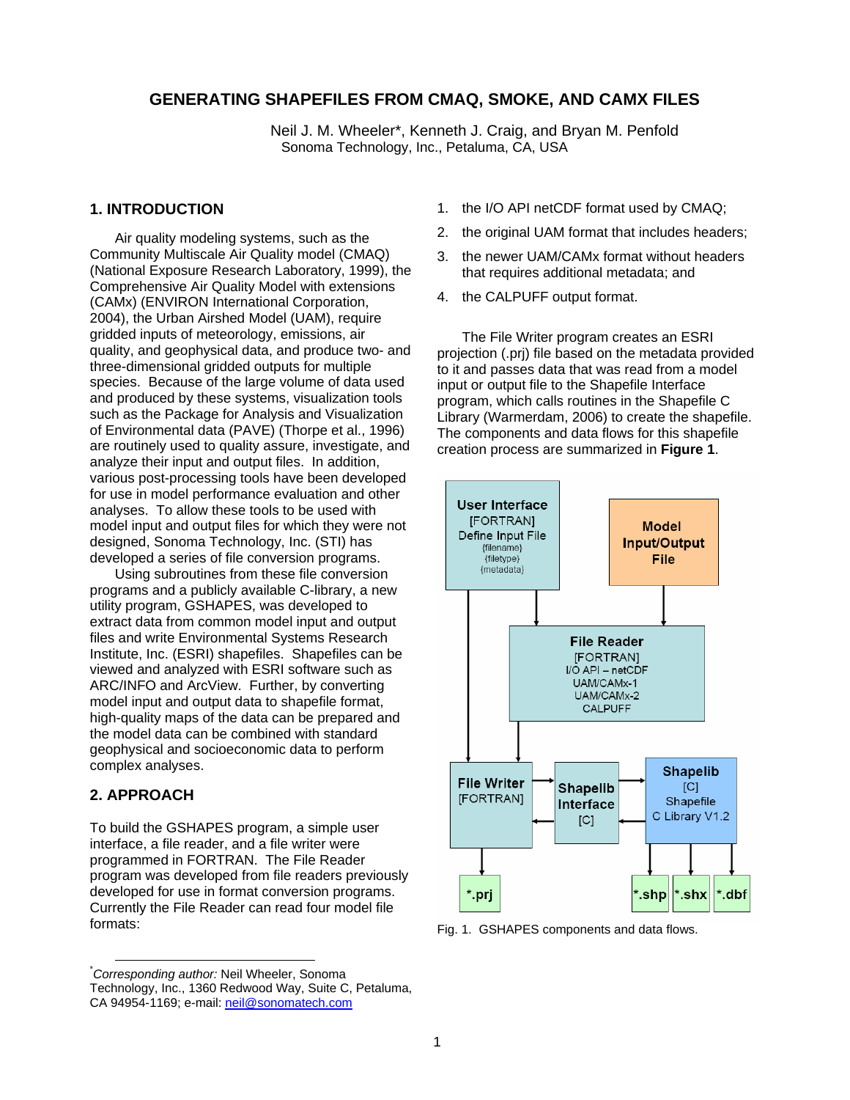### **GENERATING SHAPEFILES FROM CMAQ, SMOKE, AND CAMX FILES**

Neil J. M. Wheeler\*, Kenneth J. Craig, and Bryan M. Penfold Sonoma Technology, Inc., Petaluma, CA, USA

### **1. INTRODUCTION**

Air quality modeling systems, such as the Community Multiscale Air Quality model (CMAQ) (National Exposure Research Laboratory, 1999), the Comprehensive Air Quality Model with extensions (CAMx) (ENVIRON International Corporation, 2004), the Urban Airshed Model (UAM), require gridded inputs of meteorology, emissions, air quality, and geophysical data, and produce two- and three-dimensional gridded outputs for multiple species. Because of the large volume of data used and produced by these systems, visualization tools such as the Package for Analysis and Visualization of Environmental data (PAVE) (Thorpe et al., 1996) are routinely used to quality assure, investigate, and analyze their input and output files. In addition, various post-processing tools have been developed for use in model performance evaluation and other analyses. To allow these tools to be used with model input and output files for which they were not designed, Sonoma Technology, Inc. (STI) has developed a series of file conversion programs.

Using subroutines from these file conversion programs and a publicly available C-library, a new utility program, GSHAPES, was developed to extract data from common model input and output files and write Environmental Systems Research Institute, Inc. (ESRI) shapefiles. Shapefiles can be viewed and analyzed with ESRI software such as ARC/INFO and ArcView. Further, by converting model input and output data to shapefile format, high-quality maps of the data can be prepared and the model data can be combined with standard geophysical and socioeconomic data to perform complex analyses.

#### **2. APPROACH**

To build the GSHAPES program, a simple user interface, a file reader, and a file writer were programmed in FORTRAN. The File Reader program was developed from file readers previously developed for use in format conversion programs. Currently the File Reader can read four model file formats:

- 1. the I/O API netCDF format used by CMAQ;
- 2. the original UAM format that includes headers;
- 3. the newer UAM/CAMx format without headers that requires additional metadata; and
- 4. the CALPUFF output format.

The File Writer program creates an ESRI projection (.prj) file based on the metadata provided to it and passes data that was read from a model input or output file to the Shapefile Interface program, which calls routines in the Shapefile C Library (Warmerdam, 2006) to create the shapefile. The components and data flows for this shapefile creation process are summarized in **Figure 1**.



Fig. 1. GSHAPES components and data flows.

 <sup>\*</sup> *Corresponding author:* Neil Wheeler, Sonoma Technology, Inc., 1360 Redwood Way, Suite C, Petaluma, CA 94954-1169; e-mail: neil@sonomatech.com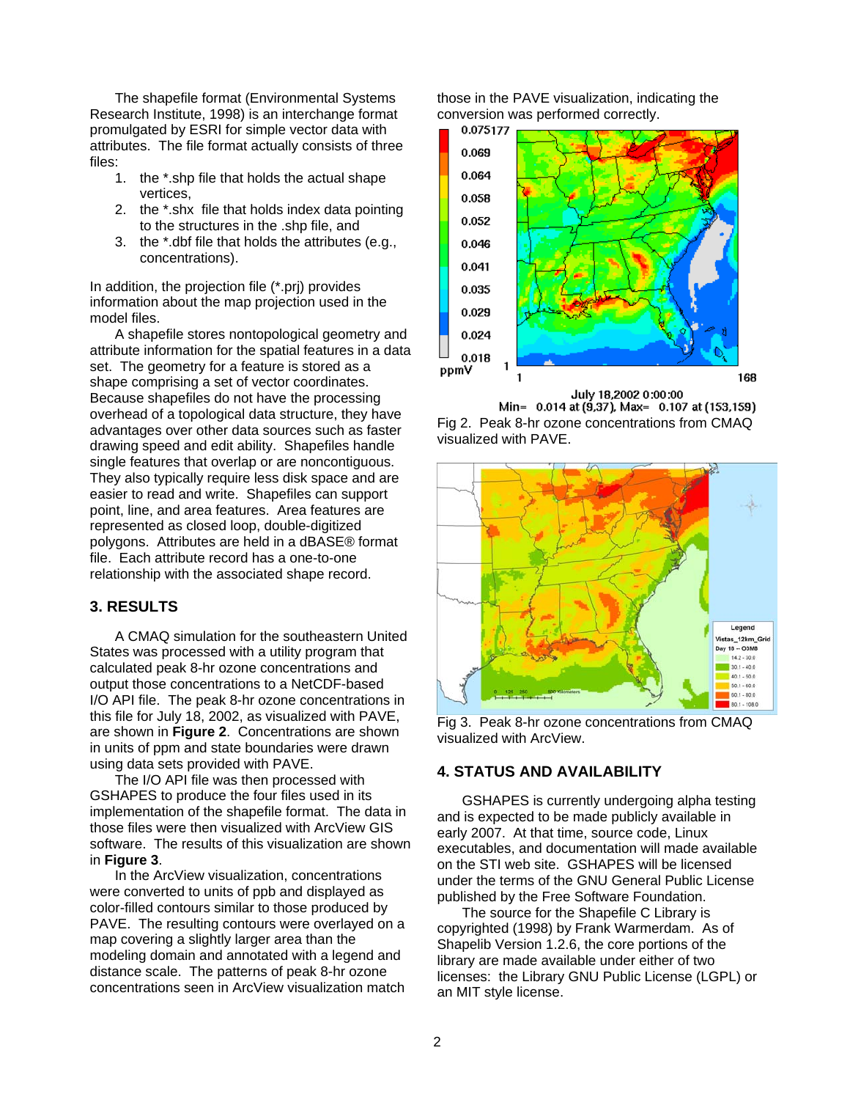The shapefile format (Environmental Systems Research Institute, 1998) is an interchange format promulgated by ESRI for simple vector data with attributes. The file format actually consists of three files:

- 1. the \*.shp file that holds the actual shape vertices,
- 2. the \*.shx file that holds index data pointing to the structures in the .shp file, and
- 3. the \*.dbf file that holds the attributes (e.g., concentrations).

In addition, the projection file (\*.prj) provides information about the map projection used in the model files.

A shapefile stores nontopological geometry and attribute information for the spatial features in a data set. The geometry for a feature is stored as a shape comprising a set of vector coordinates. Because shapefiles do not have the processing overhead of a topological data structure, they have advantages over other data sources such as faster drawing speed and edit ability. Shapefiles handle single features that overlap or are noncontiguous. They also typically require less disk space and are easier to read and write. Shapefiles can support point, line, and area features. Area features are represented as closed loop, double-digitized polygons. Attributes are held in a dBASE® format file. Each attribute record has a one-to-one relationship with the associated shape record.

#### **3. RESULTS**

A CMAQ simulation for the southeastern United States was processed with a utility program that calculated peak 8-hr ozone concentrations and output those concentrations to a NetCDF-based I/O API file. The peak 8-hr ozone concentrations in this file for July 18, 2002, as visualized with PAVE, are shown in **Figure 2**. Concentrations are shown in units of ppm and state boundaries were drawn using data sets provided with PAVE.

The I/O API file was then processed with GSHAPES to produce the four files used in its implementation of the shapefile format. The data in those files were then visualized with ArcView GIS software. The results of this visualization are shown in **Figure 3**.

In the ArcView visualization, concentrations were converted to units of ppb and displayed as color-filled contours similar to those produced by PAVE. The resulting contours were overlayed on a map covering a slightly larger area than the modeling domain and annotated with a legend and distance scale. The patterns of peak 8-hr ozone concentrations seen in ArcView visualization match those in the PAVE visualization, indicating the conversion was performed correctly.



July 18,2002 0:00:00 Min= 0.014 at (9.37), Max= 0.107 at (153,159) Fig 2. Peak 8-hr ozone concentrations from CMAQ



Fig 3. Peak 8-hr ozone concentrations from CMAQ visualized with ArcView.

# **4. STATUS AND AVAILABILITY**

visualized with PAVE.

GSHAPES is currently undergoing alpha testing and is expected to be made publicly available in early 2007. At that time, source code, Linux executables, and documentation will made available on the STI web site. GSHAPES will be licensed under the terms of the GNU General Public License published by the Free Software Foundation.

The source for the Shapefile C Library is copyrighted (1998) by Frank Warmerdam. As of Shapelib Version 1.2.6, the core portions of the library are made available under either of two licenses: the Library GNU Public License (LGPL) or an MIT style license.